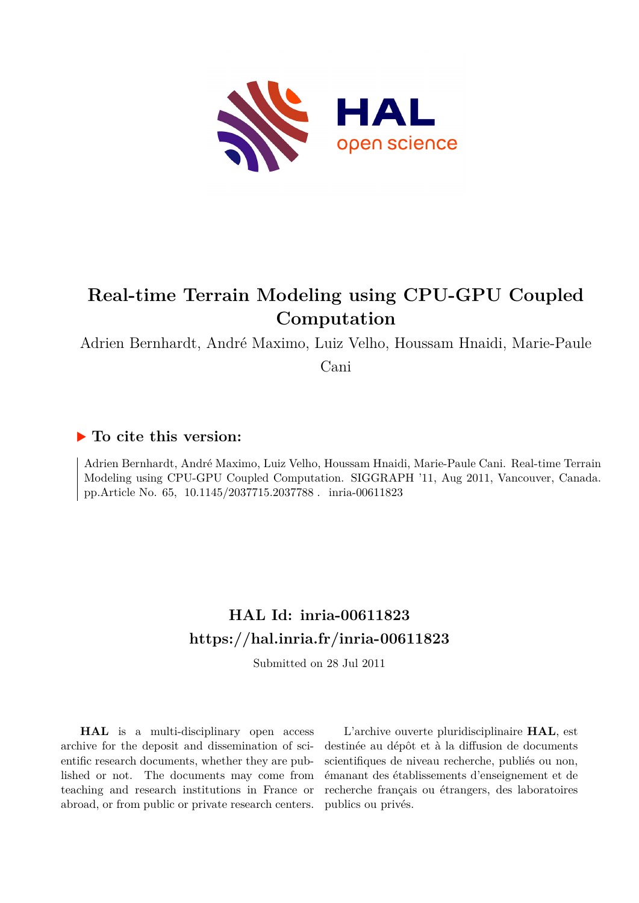

# **Real-time Terrain Modeling using CPU-GPU Coupled Computation**

Adrien Bernhardt, André Maximo, Luiz Velho, Houssam Hnaidi, Marie-Paule

Cani

## **To cite this version:**

Adrien Bernhardt, André Maximo, Luiz Velho, Houssam Hnaidi, Marie-Paule Cani. Real-time Terrain Modeling using CPU-GPU Coupled Computation. SIGGRAPH '11, Aug 2011, Vancouver, Canada. pp.Article No. 65, 10.1145/2037715.2037788. inria-00611823

## **HAL Id: inria-00611823 <https://hal.inria.fr/inria-00611823>**

Submitted on 28 Jul 2011

**HAL** is a multi-disciplinary open access archive for the deposit and dissemination of scientific research documents, whether they are published or not. The documents may come from teaching and research institutions in France or abroad, or from public or private research centers.

L'archive ouverte pluridisciplinaire **HAL**, est destinée au dépôt et à la diffusion de documents scientifiques de niveau recherche, publiés ou non, émanant des établissements d'enseignement et de recherche français ou étrangers, des laboratoires publics ou privés.